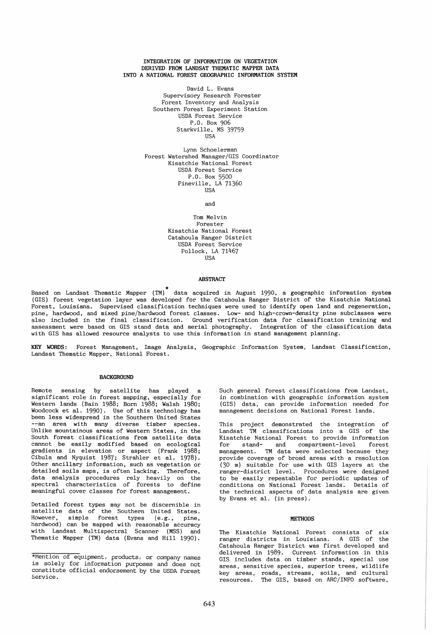## INTEGRATION OF INFORMATION ON VEGETATION DERIVED FROM LANDSAT THEMATIC MAPPER DATA INTO A NATIONAL FOREST GEOGRAPHIC INFORMATION SYSTEM

David L. Evans Supervisory Research Forester Forest Inventory and Analysis Southern Forest Experiment Station USDA Forest Service P.O. Box 906 Starkville, MS 39759 USA

Lynn Schoelerman Forest Watershed Manager/GIS Coordinator Kisatchie National Forest USDA Forest Service P.O. Box 5500 Pineville, LA 71360 USA

and

## Tom Melvin Forester Kisatchie National Forest Catahoula Ranger District USDA Forest Service Pollock, LA 71467 USA

#### ABSTRACT

Based \* on Landsat Thematic Mapper (TM) data acquired in August 1990, a geographic information system (GIS) forest vegetation layer was developed for the Catahoula Ranger District of the Kisatchie National Forest, Louisiana. Supervised classification techniques were used to identify open land and regeneration, pine, hardwood, and mixed pine/hardwood forest classes. Low- and high-crown-density pine subclasses were also included in the final classification. Ground verification data for classification training and assessment were based on GIS stand data and aerial photography. Integration of the classification data with GIS has allowed resource analysts to use this information in stand management planning.

KEY WORDS: Forest Management, Image Analysis, Geographic Information System, Landsat Classification, Landsat Thematic Mapper, National Forest.

## BACKGROUND

Remote sensing by satellite has played a significant role in forest mapping, especially for Western lands (Bain 1988; Born 1988; Walsh 1980; Woodcock et al. 1990), Use of this technology has been less widespread in the Southern United States --an area with many diverse timber species. Unlike mountainous areas of Western States, in the South forest classifications from satellite data cannot be easily modified based on ecological gradients in elevation or aspect (Frank 1988; Cibula and Nyquist 1987; Strahler et al. 1978). Other ancillary information, such as vegetation or detailed soils maps, is often lacking. Therefore, data analysis procedures rely heavily on the spectral characteristics of forests to define meaningful cover classes for forest management.

Detailed forest types may not be discernible in satellite data of the Southern United States. However, simple forest types (e.g., pine, hardwood) can be mapped with reasonable accuracy with Landsat Multispectral Scanner (MSS) and Thematic Mapper (TM) data (Evans and Hill 1990).

. Such general forest classifications from Landsat, in combination with geographic information system (GIS) data, can provide information needed for management decisions on National Forest lands.

This project demonstrated Landsat TM classifications the integration of into a GIS of the Kisatchie National Forest to provide information for stand- and compartment-level forest management. TM data were selected because they provide coverage of broad areas with a resolution (30 m) suitable for use with GIS layers at the ranger-district level. Procedures were designed to be easily repeatable for periodic updates of conditions on National Forest lands. Details of the technical aspects of data analysis are given by Evans et al. (in press).

## **METHODS**

The Kisatchie National Forest consists of six ranger districts in Louisiana. A GIS of the Catahoula Ranger District was first developed and delivered in 1989. Current information in this GIS includes data on timber stands, special use areas, sensitive species, superior trees, wildlife key areas, roads. streams, soils. and cultural resources. The GIS, based on ARC/INFO software,

<sup>\*</sup>Mention of equipment, products, or company names is solely for information purposes and does not constitute official endorsement by the USDA Forest Service.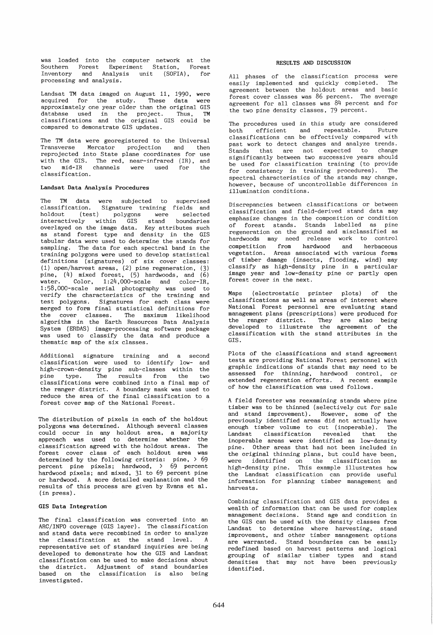was loaded into the computer network at the Southern Forest Experiment Station, Forest Inventory and Analysis unit (SOFIA). for processing and analysis.

Landsat TM data imaged on August 11, 1990, were acquired for the study. These data were approximately one year older than the original GIS database used in the project. Thus, TM classifications and the original GIS could be compared to demonstrate GIS updates.

The TM data were georegistered to the Universal<br>Transverse Mercator projection and then Mercator projection and then reprojected into State plane coordinates for use with the GIS. The red, near-infrared (IR), and two mid-IR channels were used for the classification.

## Landsat Data Analysis Procedures

The TM data were subjected to supervised<br>classification. Signature training fields and classification. Signature training fields and<br>holdout (test) polygons were selected  $(test)$  polygons were interactively within GIS stand boundaries overlayed on the image data. Key attributes such as stand forest type and density in the GIS tabular data were used to determine the stands for sampling. The data for each spectral band in the training polygons were used to develop statistical definitions (signatures) of six cover classes: (1) open/harvest areas, (2) pine regeneration, (3) pine,  $(4)$  mixed forest,  $(5)$  hardwoods, and  $(6)$ water. Color, 1:24,000-scale and color-IR, 1:58,OOO-scale aerial photography was used to verify the characteristics of the training and test polygons. Signatures for each class were merged to form final statistical definitions for the cover classes. The maximum likelihood algorithm in the Earth Resources Data Analysis System (ERDAS) image-processing software package was used to classify the data and produce a thematic map of the six classes.

Additional signature training and a second classification were used to identify low- and<br>high-crown-density pine sub-classes within the high-crown-density pine sub-classes within pine type. The results from the two classifications were combined into a final map of the ranger district. A boundary mask was used to reduce the area of the final classification to a forest cover map of the National Forest.

The distribution of pixels in each of the holdout polygons was determined. Although several classes could occur in any holdout area, a majority approach was used to determine whether the classification agreed with the holdout areas. The forest cover class of each holdout area was determined by the following criteria: pine, > 69 percent pine pixels; hardwood, > 69 percent hardwood pixels; and mixed, 31 to 69 percent pine or hardwood. A more detailed explanation and the results of this process are given by Evans et al. (in press).

# GIS Data Integration

The final classification was converted into an ARC/INFO coverage (GIS layer). The classification and stand data were recombined in order to analyze the classification at the stand level. A representative set of standard inquiries are being developed to demonstrate how the GIS and Landsat classification can be used to make decisions about the district. Adjustment of stand boundaries based on the classification is also being investigated.

## RESULTS AND DISCUSSION

All phases of the classification process were easily implemented and quickly completed. The agreement between the holdout areas and basic forest cover classes was 86 percent. The average agreement for all classes was 84 percent and for the two pine density classes, 79 percent.

The procedures used in this study are considered<br>both efficient and repeatable. Future efficient and repeatable. classifications can be effectively compared with past work to detect changes and analyze trends.<br>Stands that are not expected to change Stands that are not expected to significantly between two successive years should be used for classification training (to provide for consistency in training procedures). The spectral characteristics of the stands may change, however, because of uncontrollable differences in illumination conditions.

Discrepancies between classifications or between classification and field-derived stand data may emphasize changes in the composition or condition of forest stands. Stands labelled as pine regeneration on the ground and misclassified as hardwoods may need release work to control competition from hardwood and herbaceous vegetation. Areas associated with various forms of timber damage (insects, flooding, wind) may classify as high-density pine in a particular image year and low-density pine or partly open forest cover in the next.

Maps (electrostatic printer classifications as well as areas National Forest personnel are evaluating stand management plans (prescriptions) were produced for the ranger district. They the ranger district. They are also being<br>developed to illustrate the agreement of the classification with the stand attributes in the GIS. plots) of the of interest where agreement of the

Plots of the classifications and stand agreement tests are providing National Forest personnel with graphic indications of stands that may need to be assessed for thinning, hardwood control, or extended regeneration efforts. A recent example of how the classification was used follows.

A field forester was reexamining stands where pine timber was to be thinned (selectively cut for sale and stand improvement). However, some of the previously identified areas did not actually have<br>enough timber volume to cut (inoperable). The enough timber volume to cut (inoperable).<br>Landsat, classification, revealed, that Landsat classification revealed that the inoperable areas were identified as low-density pine. Other areas that had not been included in the original thinning plans, but could have been, were identified on the classification as high-density pine. This example illustrates how the Landsat classification can provide useful information for planning timber management and harvests.

Combining classification and GIS data provides a wealth of information that can be used for complex management decisions. Stand age and condition in the GIS can be used with the density classes from Landsat to determine where harvesting, stand improvement, and other timber management options are warranted. Stand boundaries can be easily redefined based on harvest patterns and logical grouping of similar timber types and stand densities that may not have been previously identified.